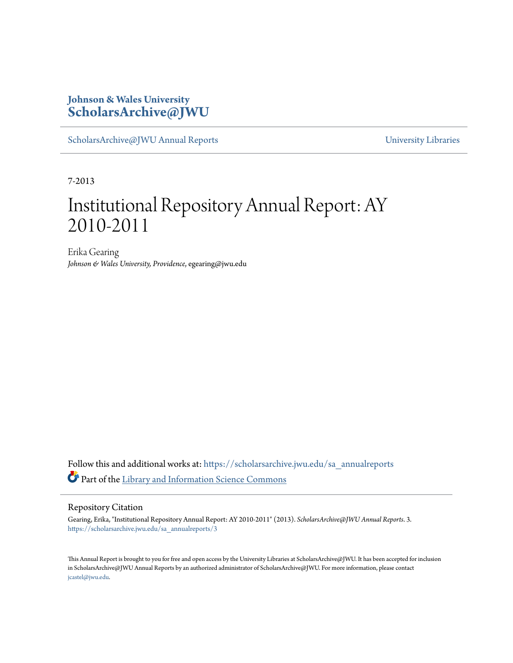### **Johnson & Wales University [ScholarsArchive@JWU](https://scholarsarchive.jwu.edu?utm_source=scholarsarchive.jwu.edu%2Fsa_annualreports%2F3&utm_medium=PDF&utm_campaign=PDFCoverPages)**

[ScholarsArchive@JWU Annual Reports](https://scholarsarchive.jwu.edu/sa_annualreports?utm_source=scholarsarchive.jwu.edu%2Fsa_annualreports%2F3&utm_medium=PDF&utm_campaign=PDFCoverPages) **Example 2018** [University Libraries](https://scholarsarchive.jwu.edu/University_Libraries?utm_source=scholarsarchive.jwu.edu%2Fsa_annualreports%2F3&utm_medium=PDF&utm_campaign=PDFCoverPages)

7-2013

## Institutional Repository Annual Report: AY 2010-2011

Erika Gearing *Johnson & Wales University, Providence*, egearing@jwu.edu

Follow this and additional works at: [https://scholarsarchive.jwu.edu/sa\\_annualreports](https://scholarsarchive.jwu.edu/sa_annualreports?utm_source=scholarsarchive.jwu.edu%2Fsa_annualreports%2F3&utm_medium=PDF&utm_campaign=PDFCoverPages) Part of the [Library and Information Science Commons](http://network.bepress.com/hgg/discipline/1018?utm_source=scholarsarchive.jwu.edu%2Fsa_annualreports%2F3&utm_medium=PDF&utm_campaign=PDFCoverPages)

#### Repository Citation

Gearing, Erika, "Institutional Repository Annual Report: AY 2010-2011" (2013). *ScholarsArchive@JWU Annual Reports*. 3. [https://scholarsarchive.jwu.edu/sa\\_annualreports/3](https://scholarsarchive.jwu.edu/sa_annualreports/3?utm_source=scholarsarchive.jwu.edu%2Fsa_annualreports%2F3&utm_medium=PDF&utm_campaign=PDFCoverPages)

This Annual Report is brought to you for free and open access by the University Libraries at ScholarsArchive@JWU. It has been accepted for inclusion in ScholarsArchive@JWU Annual Reports by an authorized administrator of ScholarsArchive@JWU. For more information, please contact [jcastel@jwu.edu.](mailto:jcastel@jwu.edu)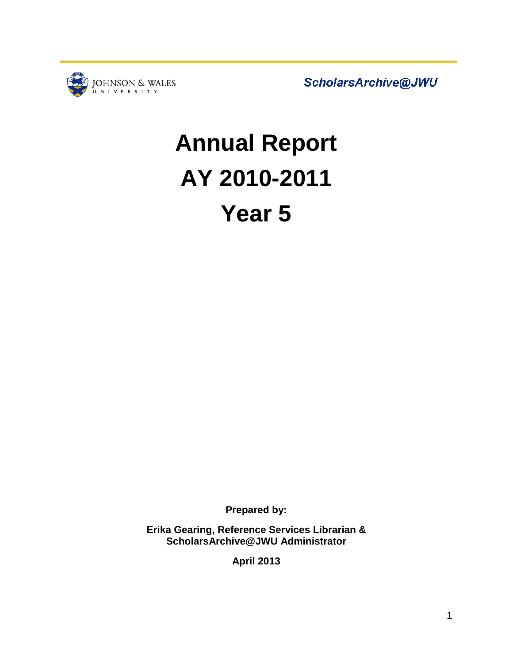

ScholarsArchive@JWU

# **Annual Report AY 2010-2011 Year 5**

**Prepared by:**

**Erika Gearing, Reference Services Librarian & ScholarsArchive@JWU Administrator**

**April 2013**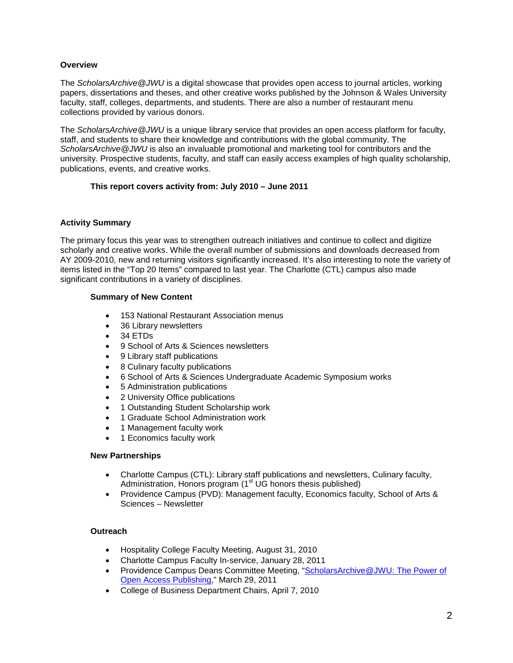#### **Overview**

The *ScholarsArchive@JWU* is a digital showcase that provides open access to journal articles, working papers, dissertations and theses, and other creative works published by the Johnson & Wales University faculty, staff, colleges, departments, and students. There are also a number of restaurant menu collections provided by various donors.

The *ScholarsArchive@JWU* is a unique library service that provides an open access platform for faculty, staff, and students to share their knowledge and contributions with the global community. The *ScholarsArchive@JWU* is also an invaluable promotional and marketing tool for contributors and the university. Prospective students, faculty, and staff can easily access examples of high quality scholarship, publications, events, and creative works.

#### **This report covers activity from: July 2010 – June 2011**

#### **Activity Summary**

The primary focus this year was to strengthen outreach initiatives and continue to collect and digitize scholarly and creative works. While the overall number of submissions and downloads decreased from AY 2009-2010, new and returning visitors significantly increased. It's also interesting to note the variety of items listed in the "Top 20 Items" compared to last year. The Charlotte (CTL) campus also made significant contributions in a variety of disciplines.

#### **Summary of New Content**

- 153 National Restaurant Association menus
- 36 Library newsletters
- 34 ETDs
- 9 School of Arts & Sciences newsletters
- 9 Library staff publications
- 8 Culinary faculty publications
- 6 School of Arts & Sciences Undergraduate Academic Symposium works
- 5 Administration publications
- 2 University Office publications
- 1 Outstanding Student Scholarship work
- 1 Graduate School Administration work
- 1 Management faculty work
- 1 Economics faculty work

#### **New Partnerships**

- Charlotte Campus (CTL): Library staff publications and newsletters, Culinary faculty, Administration, Honors program  $(1<sup>st</sup> UG$  honors thesis published)
- Providence Campus (PVD): Management faculty, Economics faculty, School of Arts & Sciences – Newsletter

#### **Outreach**

- Hospitality College Faculty Meeting, August 31, 2010
- Charlotte Campus Faculty In-service, January 28, 2011
- Providence Campus Deans Committee Meeting, "ScholarsArchive@JWU: The Power of [Open Access](http://scholarsarchive.jwu.edu/staff_pub/11/) Publishing," March 29, 2011
- College of Business Department Chairs, April 7, 2010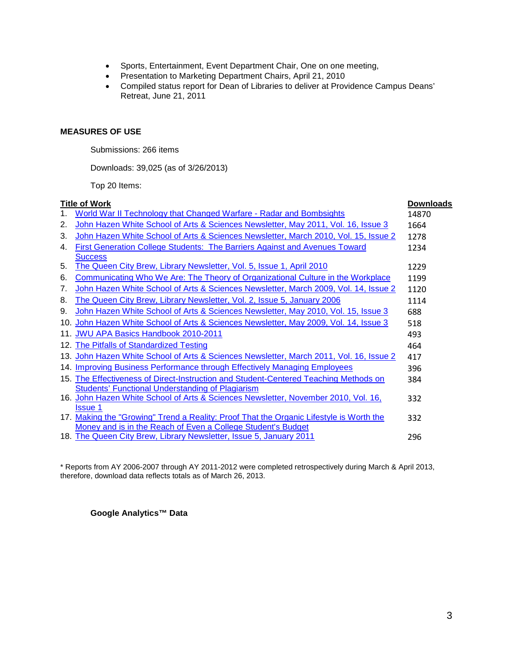- Sports, Entertainment, Event Department Chair, One on one meeting,
- Presentation to Marketing Department Chairs, April 21, 2010
- Compiled status report for Dean of Libraries to deliver at Providence Campus Deans' Retreat, June 21, 2011

#### **MEASURES OF USE**

Submissions: 266 items

Downloads: 39,025 (as of 3/26/2013)

|                      | Top 20 Items:                                                                                                                                           |                  |
|----------------------|---------------------------------------------------------------------------------------------------------------------------------------------------------|------------------|
| <u>Title of Work</u> |                                                                                                                                                         | <b>Downloads</b> |
| 1.                   | World War II Technology that Changed Warfare - Radar and Bombsights                                                                                     | 14870            |
| 2.                   | John Hazen White School of Arts & Sciences Newsletter, May 2011, Vol. 16, Issue 3                                                                       | 1664             |
| 3.                   | John Hazen White School of Arts & Sciences Newsletter, March 2010, Vol. 15, Issue 2                                                                     | 1278             |
| 4.                   | <b>First Generation College Students: The Barriers Against and Avenues Toward</b>                                                                       | 1234             |
| 5.                   | <b>Success</b><br>The Queen City Brew, Library Newsletter, Vol. 5, Issue 1, April 2010                                                                  | 1229             |
| 6.                   | <b>Communicating Who We Are: The Theory of Organizational Culture in the Workplace</b>                                                                  | 1199             |
| 7.                   | John Hazen White School of Arts & Sciences Newsletter, March 2009, Vol. 14, Issue 2                                                                     | 1120             |
| 8.                   | The Queen City Brew, Library Newsletter, Vol. 2, Issue 5, January 2006                                                                                  | 1114             |
| 9.                   | John Hazen White School of Arts & Sciences Newsletter, May 2010, Vol. 15, Issue 3                                                                       | 688              |
|                      | 10. John Hazen White School of Arts & Sciences Newsletter, May 2009, Vol. 14, Issue 3                                                                   | 518              |
|                      | 11. JWU APA Basics Handbook 2010-2011                                                                                                                   | 493              |
|                      | 12. The Pitfalls of Standardized Testing                                                                                                                | 464              |
|                      | 13. John Hazen White School of Arts & Sciences Newsletter, March 2011, Vol. 16, Issue 2                                                                 | 417              |
|                      | 14. Improving Business Performance through Effectively Managing Employees                                                                               | 396              |
|                      | 15. The Effectiveness of Direct-Instruction and Student-Centered Teaching Methods on<br><b>Students' Functional Understanding of Plagiarism</b>         | 384              |
|                      | 16. John Hazen White School of Arts & Sciences Newsletter, November 2010, Vol. 16,<br><b>Issue 1</b>                                                    | 332              |
|                      | 17. Making the "Growing" Trend a Reality: Proof That the Organic Lifestyle is Worth the<br>Money and is in the Reach of Even a College Student's Budget | 332              |
|                      | 18. The Queen City Brew, Library Newsletter, Issue 5, January 2011                                                                                      | 296              |
|                      |                                                                                                                                                         |                  |

\* Reports from AY 2006-2007 through AY 2011-2012 were completed retrospectively during March & April 2013, therefore, download data reflects totals as of March 26, 2013.

#### **Google Analytics™ Data**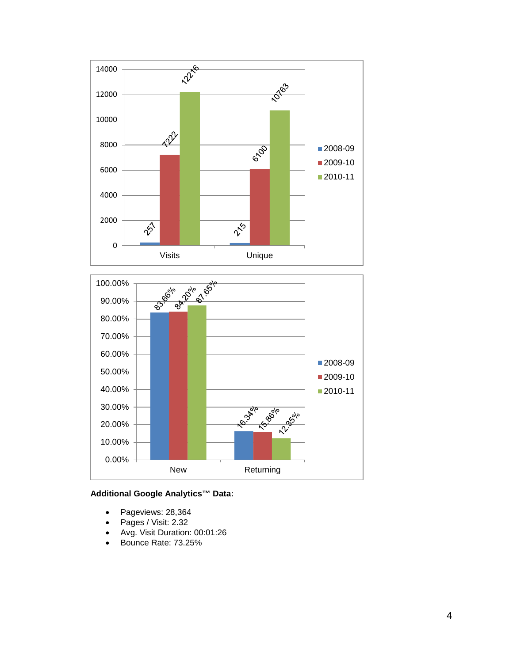



#### **Additional Google Analytics™ Data:**

- Pageviews: 28,364
- Pages / Visit: 2.32
- Avg. Visit Duration: 00:01:26
- Bounce Rate: 73.25%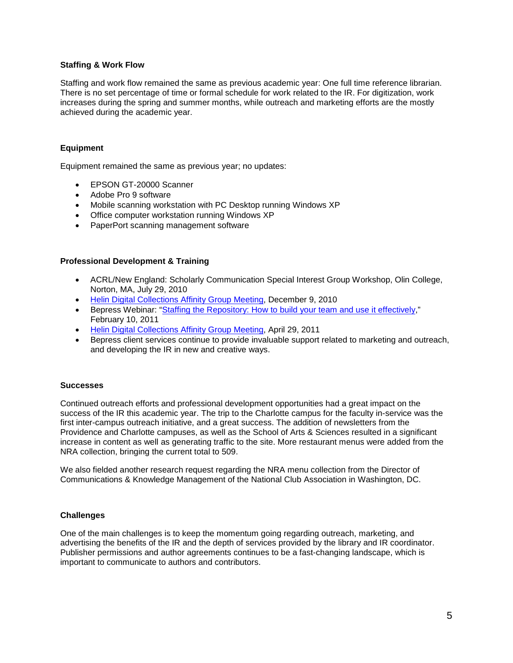#### **Staffing & Work Flow**

Staffing and work flow remained the same as previous academic year: One full time reference librarian. There is no set percentage of time or formal schedule for work related to the IR. For digitization, work increases during the spring and summer months, while outreach and marketing efforts are the mostly achieved during the academic year.

#### **Equipment**

Equipment remained the same as previous year; no updates:

- EPSON GT-20000 Scanner
- Adobe Pro 9 software
- Mobile scanning workstation with PC Desktop running Windows XP
- Office computer workstation running Windows XP
- PaperPort scanning management software

#### **Professional Development & Training**

- ACRL/New England: Scholarly Communication Special Interest Group Workshop, Olin College, Norton, MA, July 29, 2010
- [Helin Digital Collections Affinity Group Meeting,](http://helindigitalcommons.org/archive/655/) December 9, 2010
- Bepress Webinar: ["Staffing the Repository: How to build your team and use](http://digitalcommons.bepress.com/webinars/2/) it effectively," February 10, 2011
- [Helin Digital Collections Affinity Group Meeting,](http://helindigitalcommons.org/archive/672/) April 29, 2011
- Bepress client services continue to provide invaluable support related to marketing and outreach, and developing the IR in new and creative ways.

#### **Successes**

Continued outreach efforts and professional development opportunities had a great impact on the success of the IR this academic year. The trip to the Charlotte campus for the faculty in-service was the first inter-campus outreach initiative, and a great success. The addition of newsletters from the Providence and Charlotte campuses, as well as the School of Arts & Sciences resulted in a significant increase in content as well as generating traffic to the site. More restaurant menus were added from the NRA collection, bringing the current total to 509.

We also fielded another research request regarding the NRA menu collection from the Director of Communications & Knowledge Management of the National Club Association in Washington, DC.

#### **Challenges**

One of the main challenges is to keep the momentum going regarding outreach, marketing, and advertising the benefits of the IR and the depth of services provided by the library and IR coordinator. Publisher permissions and author agreements continues to be a fast-changing landscape, which is important to communicate to authors and contributors.